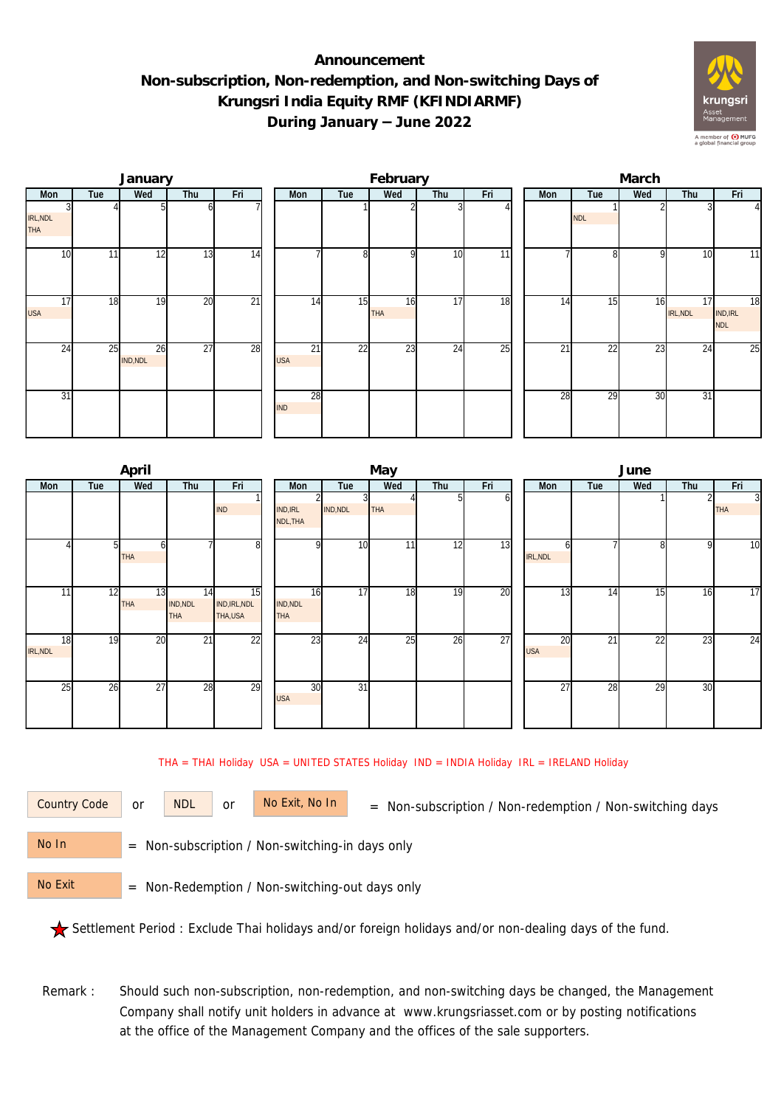## **Announcement Non-subscription, Non-redemption, and Non-switching Days of Krungsri India Equity RMF (KFINDIARMF) During January – June 2022**



|                  |     | January        |                 |                 |                  |                | February         |     |     | March           |                 |                 |                |                              |  |  |
|------------------|-----|----------------|-----------------|-----------------|------------------|----------------|------------------|-----|-----|-----------------|-----------------|-----------------|----------------|------------------------------|--|--|
| Mon              | Tue | Wed            | Thu             | Fri             | Mon              | Tue            | Wed              | Thu | Fri | Mon             | Tue             | Wed             | Thu            | Fri                          |  |  |
| IRL, NDL<br>THA  |     |                |                 |                 |                  |                |                  |     |     |                 | <b>NDL</b>      |                 |                | $\frac{4}{3}$                |  |  |
| 10               | 11  | 12             | 13              | 14              |                  | 8 <sup>l</sup> | $\Omega$         | 10  | 11  |                 | 8               | <b>Q</b>        | 10             | 11                           |  |  |
| 17<br><b>USA</b> | 18  | 19             | $\overline{20}$ | $\overline{21}$ | 14               | 15             | 16<br><b>THA</b> | 17  | 18  | $1\overline{4}$ | 15              | 16              | 17<br>IRL, NDL | 18<br>IND, IRL<br><b>NDL</b> |  |  |
| 24               | 25  | 26<br>IND, NDL | $\overline{27}$ | 28              | 21<br><b>USA</b> | 22             | 23               | 24  | 25  | 21              | $\overline{22}$ | $\overline{23}$ | 24             | $\overline{25}$              |  |  |
| 31               |     |                |                 |                 | 28<br><b>IND</b> |                |                  |     |     | 28              | 29              | 30              | 31             |                              |  |  |

|                       |     | April            |                              |                                 |                             |                       | May |     |     | June             |     |     |     |                              |  |  |
|-----------------------|-----|------------------|------------------------------|---------------------------------|-----------------------------|-----------------------|-----|-----|-----|------------------|-----|-----|-----|------------------------------|--|--|
| Mon                   | Tue | Wed              | Thu                          | Fri                             | Mon                         | Tue                   | Wed | Thu | Fri | Mon              | Tue | Wed | Thu | Fri                          |  |  |
|                       |     |                  |                              | <b>IND</b>                      | <b>IND, IRL</b><br>NDL, THA | IND, NDL              | THA |     | b   |                  |     |     |     | $\overline{3}$<br><b>THA</b> |  |  |
|                       |     | <b>THA</b>       |                              | 8                               |                             | 10 <sup>1</sup><br>οI | 11  | 12  | 13  | h<br>IRL, NDL    |     | 81  | o   | 10                           |  |  |
| 11                    | 12  | 13<br><b>THA</b> | 14<br>IND, NDL<br><b>THA</b> | 15<br>IND, IRL, NDL<br>THA, USA | IND, NDL<br><b>THA</b>      | 17<br>16              | 18  | 19  | 20  | 13               | 14  | 15  | 16  | 17                           |  |  |
| 18<br><b>IRL, NDL</b> | 19  | 20               | $\overline{21}$              | $\overline{22}$                 |                             | $2\overline{3}$<br>24 | 25  | 26  | 27  | 20<br><b>USA</b> | 21  | 22  | 23  | $\overline{24}$              |  |  |
| 25                    | 26  | 27               | 28                           | 29                              | <b>USA</b>                  | 30<br>$\overline{31}$ |     |     |     | $\overline{27}$  | 28  | 29  | 30  |                              |  |  |

THA = THAI Holiday USA = UNITED STATES Holiday IND = INDIA Holiday IRL = IRELAND Holiday

or NDL or

Country Code or NDL or No Exit, No In = Non-subscription / Non-redemption / Non-switching days

 = Non-subscription / Non-switching-in days only No In

 = Non-Redemption / Non-switching-out days only No Exit

Settlement Period : Exclude Thai holidays and/or foreign holidays and/or non-dealing days of the fund.

Remark : Should such non-subscription, non-redemption, and non-switching days be changed, the Management Company shall notify unit holders in advance at www.krungsriasset.com or by posting notifications at the office of the Management Company and the offices of the sale supporters.